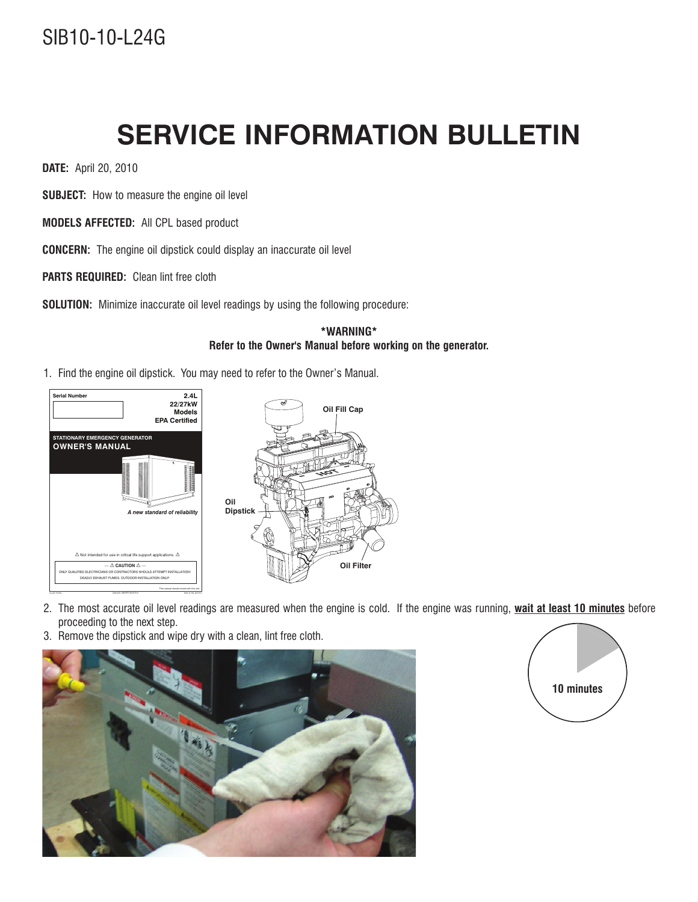## SIB10-10-L24G

## **SERVICE INFORMATION BULLETIN**

**DATE:** April 20, 2010

**SUBJECT:** How to measure the engine oil level

**MODELS AFFECTED:** All CPL based product

**CONCERN:** The engine oil dipstick could display an inaccurate oil level

**PARTS REQUIRED:** Clean lint free cloth

**SOLUTION:** Minimize inaccurate oil level readings by using the following procedure:

## **\*WARNING\* Refer to the Owner's Manual before working on the generator.**

1. Find the engine oil dipstick. You may need to refer to the Owner's Manual.



- 2. The most accurate oil level readings are measured when the engine is cold. If the engine was running, **wait at least 10 minutes** before proceeding to the next step.
- 3. Remove the dipstick and wipe dry with a clean, lint free cloth.



**10 minutes**